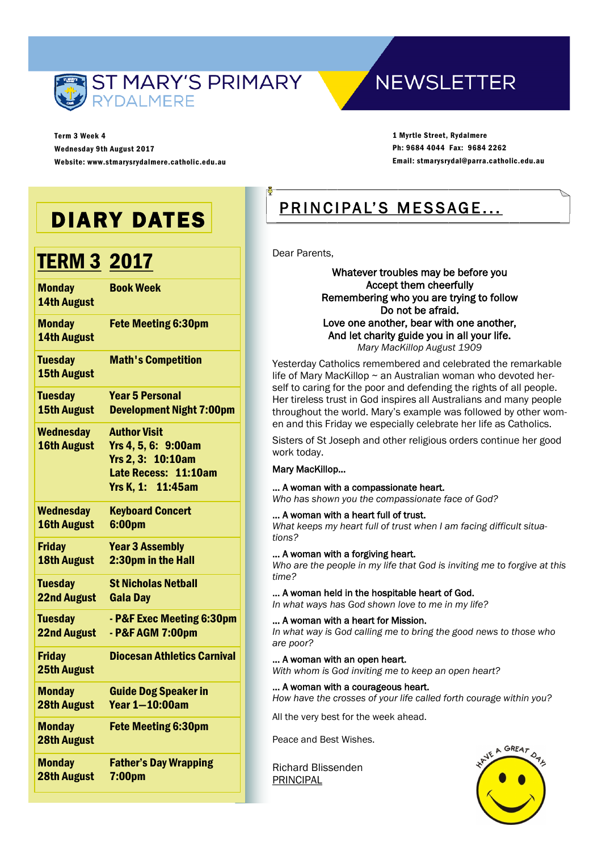

Term 3 Week 4 Wednesday 9th August 2017 Website: www.stmarysrydalmere.catholic.edu.au

### **NEWSLETTER**

1 Myrtle Street, Rydalmere Ph: 9684 4044 Fax: 9684 2262 Email: stmarysrydal@parra.catholic.edu.au

## DIARY DATES

## **TERM 3 2017**

| <b>Monday</b><br><b>14th August</b>    | <b>Book Week</b>                                                                                             |
|----------------------------------------|--------------------------------------------------------------------------------------------------------------|
| <b>Monday</b><br><b>14th August</b>    | <b>Fete Meeting 6:30pm</b>                                                                                   |
| <b>Tuesday</b><br><b>15th August</b>   | <b>Math's Competition</b>                                                                                    |
| <b>Tuesday</b>                         | <b>Year 5 Personal</b>                                                                                       |
| <b>15th August</b>                     | <b>Development Night 7:00pm</b>                                                                              |
| <b>Wednesday</b><br><b>16th August</b> | <b>Author Visit</b><br>Yrs 4, 5, 6: 9:00am<br>Yrs 2, 3: 10:10am<br>Late Recess: 11:10am<br>Yrs K, 1: 11:45am |
| <b>Wednesday</b>                       | <b>Keyboard Concert</b>                                                                                      |
| <b>16th August</b>                     | 6:00pm                                                                                                       |
| <b>Friday</b>                          | <b>Year 3 Assembly</b>                                                                                       |
| <b>18th August</b>                     | 2:30pm in the Hall                                                                                           |
| <b>Tuesday</b>                         | <b>St Nicholas Netball</b>                                                                                   |
| <b>22nd August</b>                     | <b>Gala Day</b>                                                                                              |
| <b>Tuesday</b>                         | - P&F Exec Meeting 6:30pm                                                                                    |
| <b>22nd August</b>                     | - P&F AGM 7:00pm                                                                                             |
| <b>Friday</b><br><b>25th August</b>    | <b>Diocesan Athletics Carnival</b>                                                                           |
| <b>Monday</b>                          | <b>Guide Dog Speaker in</b>                                                                                  |
| <b>28th August</b>                     | <b>Year 1-10:00am</b>                                                                                        |
| <b>Monday</b><br><b>28th August</b>    | <b>Fete Meeting 6:30pm</b>                                                                                   |
| <b>Monday</b>                          | <b>Father's Day Wrapping</b>                                                                                 |
| <b>28th August</b>                     | 7:00 <sub>pm</sub>                                                                                           |

### PRINCIPAL'S MESSAGE...

Dear Parents,

Whatever troubles may be before you Accept them cheerfully Remembering who you are trying to follow Do not be afraid. Love one another, bear with one another, And let charity guide you in all your life. *Mary MacKillop August 1909*

Yesterday Catholics remembered and celebrated the remarkable life of Mary MacKillop  $\sim$  an Australian woman who devoted herself to caring for the poor and defending the rights of all people. Her tireless trust in God inspires all Australians and many people throughout the world. Mary's example was followed by other women and this Friday we especially celebrate her life as Catholics.

Sisters of St Joseph and other religious orders continue her good work today.

#### Mary MacKillop…

#### … A woman with a compassionate heart.

*Who has shown you the compassionate face of God?* 

#### … A woman with a heart full of trust.

*What keeps my heart full of trust when I am facing difficult situations?* 

#### … A woman with a forgiving heart.

*Who are the people in my life that God is inviting me to forgive at this time?* 

#### … A woman held in the hospitable heart of God.

*In what ways has God shown love to me in my life?* 

#### … A woman with a heart for Mission.

*In what way is God calling me to bring the good news to those who are poor?* 

#### … A woman with an open heart.

*With whom is God inviting me to keep an open heart?*

#### … A woman with a courageous heart.

*How have the crosses of your life called forth courage within you?* 

All the very best for the week ahead.

Peace and Best Wishes.

Richard Blissenden PRINCIPAL

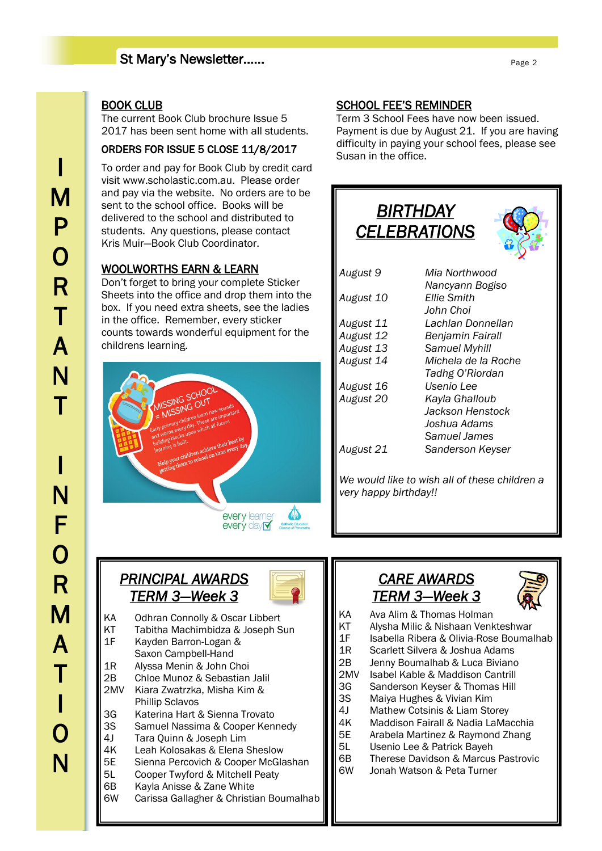#### St Mary's Newsletter……

#### BOOK CLUB

The current Book Club brochure Issue 5 2017 has been sent home with all students.

#### ORDERS FOR ISSUE 5 CLOSE 11/8/2017

To order and pay for Book Club by credit card visit www.scholastic.com.au. Please order and pay via the website. No orders are to be sent to the school office. Books will be delivered to the school and distributed to students. Any questions, please contact Kris Muir—Book Club Coordinator.

#### WOOLWORTHS EARN & LEARN

Don't forget to bring your complete Sticker Sheets into the office and drop them into the box. If you need extra sheets, see the ladies in the office. Remember, every sticker counts towards wonderful equipment for the childrens learning.



#### SCHOOL FEE'S REMINDER

Term 3 School Fees have now been issued. Payment is due by August 21. If you are having difficulty in paying your school fees, please see Susan in the office.



#### *PRINCIPAL AWARDS TERM 3—Week 3*



- KA Odhran Connolly & Oscar Libbert
- KT Tabitha Machimbidza & Joseph Sun
- 1F Kayden Barron-Logan &
- Saxon Campbell-Hand 1R Alyssa Menin & John Choi
- 2B Chloe Munoz & Sebastian Jalil
- 2MV Kiara Zwatrzka, Misha Kim & Phillip Sclavos
- 3G Katerina Hart & Sienna Trovato
- 3S Samuel Nassima & Cooper Kennedy
- 4J Tara Quinn & Joseph Lim
- 4K Leah Kolosakas & Elena Sheslow
- 5E Sienna Percovich & Cooper McGlashan
- 5L Cooper Twyford & Mitchell Peaty
- 6B Kayla Anisse & Zane White
- 6W Carissa Gallagher & Christian Boumalhab

### *CARE AWARDS TERM 3—Week 3*



- KA Ava Alim & Thomas Holman
- KT Alysha Milic & Nishaan Venkteshwar
- 1F Isabella Ribera & Olivia-Rose Boumalhab
- 1R Scarlett Silvera & Joshua Adams
- 2B Jenny Boumalhab & Luca Biviano
- 2MV Isabel Kable & Maddison Cantrill
- 3G Sanderson Keyser & Thomas Hill
- 3S Maiya Hughes & Vivian Kim
- 4J Mathew Cotsinis & Liam Storey
- 4K Maddison Fairall & Nadia LaMacchia
- 5E Arabela Martinez & Raymond Zhang
- 5L Usenio Lee & Patrick Bayeh
- 6B Therese Davidson & Marcus Pastrovic
- 6W Jonah Watson & Peta Turner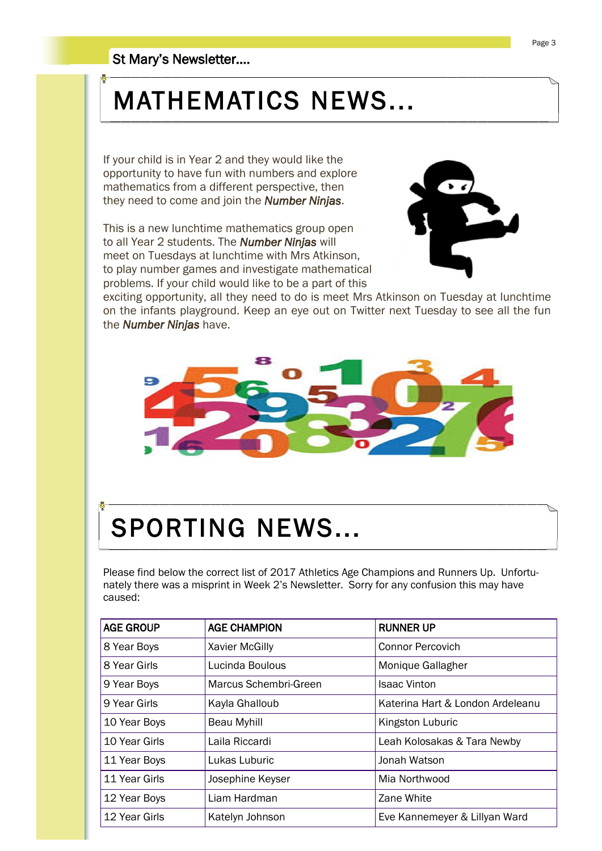## MATHEMATICS NEWS...

If your child is in Year 2 and they would like the opportunity to have fun with numbers and explore mathematics from a different perspective, then they need to come and join the *Number Ninjas*.

This is a new lunchtime mathematics group open to all Year 2 students. The *Number Ninjas* will meet on Tuesdays at lunchtime with Mrs Atkinson, to play number games and investigate mathematical problems. If your child would like to be a part of this



exciting opportunity, all they need to do is meet Mrs Atkinson on Tuesday at lunchtime on the infants playground. Keep an eye out on Twitter next Tuesday to see all the fun the *Number Ninjas* have.



# SPORTING NEWS...

Please find below the correct list of 2017 Athletics Age Champions and Runners Up. Unfortunately there was a misprint in Week 2's Newsletter. Sorry for any confusion this may have caused:

| <b>AGE GROUP</b> | <b>AGE CHAMPION</b>   | <b>RUNNER UP</b>                 |
|------------------|-----------------------|----------------------------------|
| 8 Year Boys      | <b>Xavier McGilly</b> | <b>Connor Percovich</b>          |
| 8 Year Girls     | Lucinda Boulous       | Monique Gallagher                |
| 9 Year Boys      | Marcus Schembri-Green | <b>Isaac Vinton</b>              |
| 9 Year Girls     | Kayla Ghalloub        | Katerina Hart & London Ardeleanu |
| 10 Year Boys     | <b>Beau Myhill</b>    | Kingston Luburic                 |
| 10 Year Girls    | Laila Riccardi        | Leah Kolosakas & Tara Newby      |
| 11 Year Boys     | Lukas Luburic         | Jonah Watson                     |
| 11 Year Girls    | Josephine Keyser      | Mia Northwood                    |
| 12 Year Boys     | Liam Hardman          | Zane White                       |
| 12 Year Girls    | Katelyn Johnson       | Eve Kannemeyer & Lillyan Ward    |